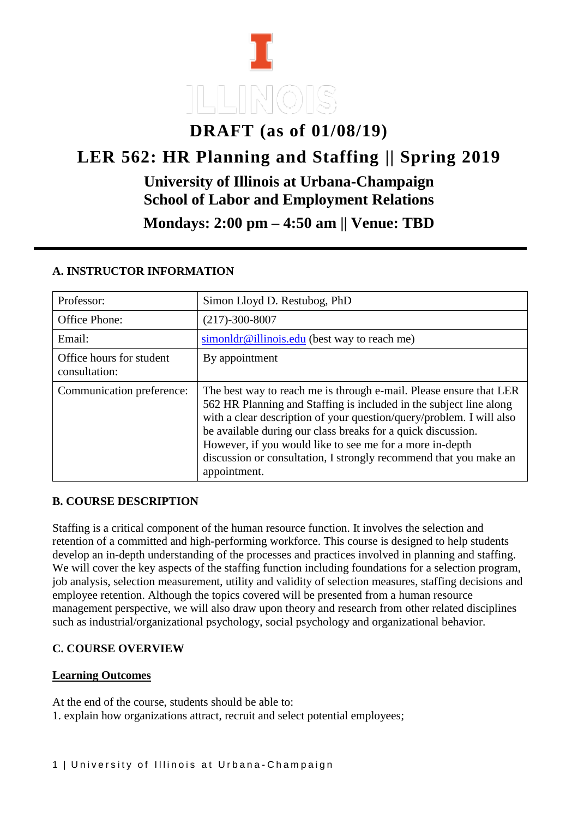# **DRAFT (as of 01/08/19) LER 562: HR Planning and Staffing || Spring 2019 University of Illinois at Urbana-Champaign School of Labor and Employment Relations Mondays: 2:00 pm – 4:50 am || Venue: TBD**

| Professor:                                | Simon Lloyd D. Restubog, PhD                                                                                                                                                                                                                                                                                                                                                                                                      |  |
|-------------------------------------------|-----------------------------------------------------------------------------------------------------------------------------------------------------------------------------------------------------------------------------------------------------------------------------------------------------------------------------------------------------------------------------------------------------------------------------------|--|
| <b>Office Phone:</b>                      | $(217) - 300 - 8007$                                                                                                                                                                                                                                                                                                                                                                                                              |  |
| Email:                                    | simonldr@illinois.edu (best way to reach me)                                                                                                                                                                                                                                                                                                                                                                                      |  |
| Office hours for student<br>consultation: | By appointment                                                                                                                                                                                                                                                                                                                                                                                                                    |  |
| Communication preference:                 | The best way to reach me is through e-mail. Please ensure that LER<br>562 HR Planning and Staffing is included in the subject line along<br>with a clear description of your question/query/problem. I will also<br>be available during our class breaks for a quick discussion.<br>However, if you would like to see me for a more in-depth<br>discussion or consultation, I strongly recommend that you make an<br>appointment. |  |

#### **A. INSTRUCTOR INFORMATION**

#### **B. COURSE DESCRIPTION**

Staffing is a critical component of the human resource function. It involves the selection and retention of a committed and high-performing workforce. This course is designed to help students develop an in-depth understanding of the processes and practices involved in planning and staffing. We will cover the key aspects of the staffing function including foundations for a selection program, job analysis, selection measurement, utility and validity of selection measures, staffing decisions and employee retention. Although the topics covered will be presented from a human resource management perspective, we will also draw upon theory and research from other related disciplines such as industrial/organizational psychology, social psychology and organizational behavior.

#### **C. COURSE OVERVIEW**

#### **Learning Outcomes**

At the end of the course, students should be able to: 1. explain how organizations attract, recruit and select potential employees;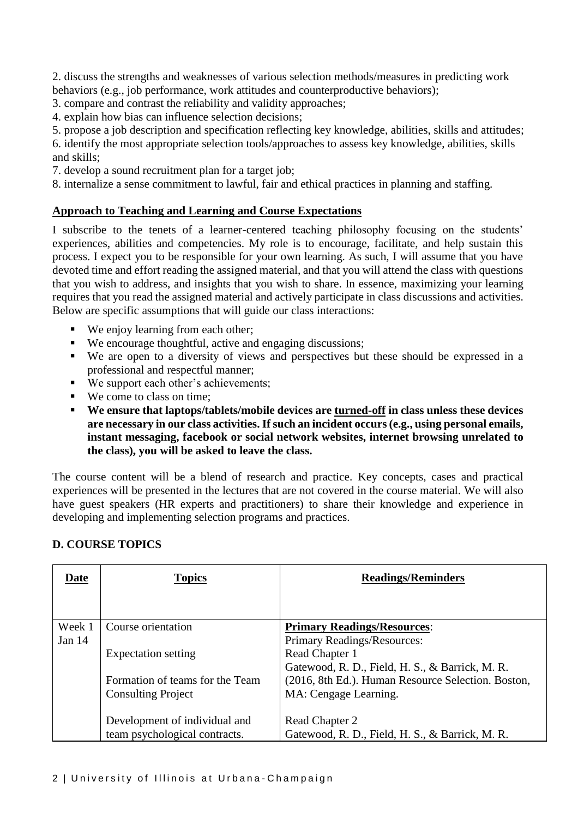2. discuss the strengths and weaknesses of various selection methods/measures in predicting work behaviors (e.g., job performance, work attitudes and counterproductive behaviors);

- 3. compare and contrast the reliability and validity approaches;
- 4. explain how bias can influence selection decisions;
- 5. propose a job description and specification reflecting key knowledge, abilities, skills and attitudes;

6. identify the most appropriate selection tools/approaches to assess key knowledge, abilities, skills and skills;

7. develop a sound recruitment plan for a target job;

8. internalize a sense commitment to lawful, fair and ethical practices in planning and staffing.

#### **Approach to Teaching and Learning and Course Expectations**

I subscribe to the tenets of a learner-centered teaching philosophy focusing on the students' experiences, abilities and competencies. My role is to encourage, facilitate, and help sustain this process. I expect you to be responsible for your own learning. As such, I will assume that you have devoted time and effort reading the assigned material, and that you will attend the class with questions that you wish to address, and insights that you wish to share. In essence, maximizing your learning requires that you read the assigned material and actively participate in class discussions and activities. Below are specific assumptions that will guide our class interactions:

- We enjoy learning from each other;
- We encourage thoughtful, active and engaging discussions;
- We are open to a diversity of views and perspectives but these should be expressed in a professional and respectful manner;
- We support each other's achievements;
- We come to class on time:
- **We ensure that laptops/tablets/mobile devices are turned-off in class unless these devices are necessary in our class activities. If such an incident occurs (e.g., using personal emails, instant messaging, facebook or social network websites, internet browsing unrelated to the class), you will be asked to leave the class.**

The course content will be a blend of research and practice. Key concepts, cases and practical experiences will be presented in the lectures that are not covered in the course material. We will also have guest speakers (HR experts and practitioners) to share their knowledge and experience in developing and implementing selection programs and practices.

#### **D. COURSE TOPICS**

| Date     | <b>Topics</b>                   | <b>Readings/Reminders</b>                          |
|----------|---------------------------------|----------------------------------------------------|
|          |                                 |                                                    |
| Week 1   | Course orientation              | <b>Primary Readings/Resources:</b>                 |
| Jan $14$ |                                 | Primary Readings/Resources:                        |
|          | <b>Expectation setting</b>      | Read Chapter 1                                     |
|          |                                 | Gatewood, R. D., Field, H. S., & Barrick, M. R.    |
|          | Formation of teams for the Team | (2016, 8th Ed.). Human Resource Selection. Boston, |
|          | <b>Consulting Project</b>       | MA: Cengage Learning.                              |
|          |                                 |                                                    |
|          | Development of individual and   | Read Chapter 2                                     |
|          | team psychological contracts.   | Gatewood, R. D., Field, H. S., & Barrick, M. R.    |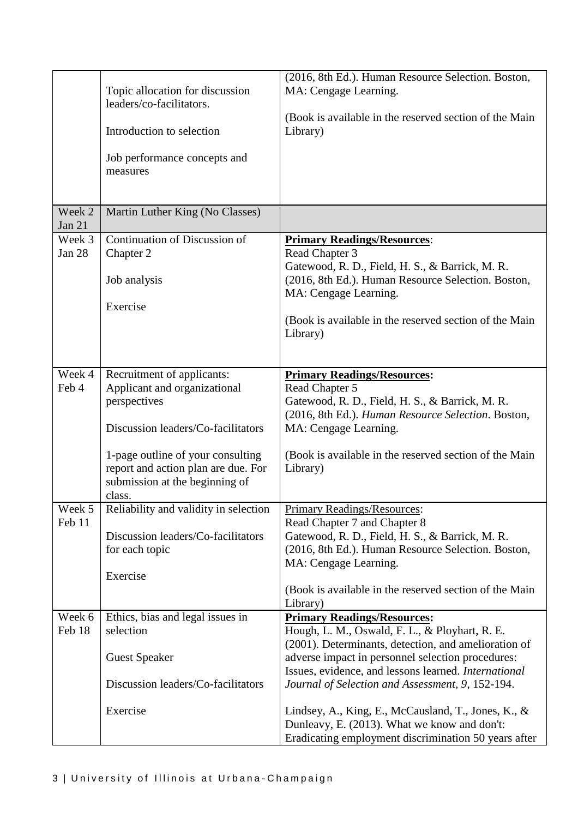|                    | Topic allocation for discussion<br>leaders/co-facilitators.<br>Introduction to selection<br>Job performance concepts and<br>measures                                                                                                     | (2016, 8th Ed.). Human Resource Selection. Boston,<br>MA: Cengage Learning.<br>(Book is available in the reserved section of the Main<br>Library)                                                                                                                                                                                                                    |
|--------------------|------------------------------------------------------------------------------------------------------------------------------------------------------------------------------------------------------------------------------------------|----------------------------------------------------------------------------------------------------------------------------------------------------------------------------------------------------------------------------------------------------------------------------------------------------------------------------------------------------------------------|
| Week 2<br>Jan 21   | Martin Luther King (No Classes)                                                                                                                                                                                                          |                                                                                                                                                                                                                                                                                                                                                                      |
| Week 3<br>Jan $28$ | Continuation of Discussion of<br>Chapter 2<br>Job analysis<br>Exercise                                                                                                                                                                   | <b>Primary Readings/Resources:</b><br>Read Chapter 3<br>Gatewood, R. D., Field, H. S., & Barrick, M. R.<br>(2016, 8th Ed.). Human Resource Selection. Boston,<br>MA: Cengage Learning.<br>(Book is available in the reserved section of the Main<br>Library)                                                                                                         |
| Week 4<br>Feb 4    | Recruitment of applicants:<br>Applicant and organizational<br>perspectives<br>Discussion leaders/Co-facilitators<br>1-page outline of your consulting<br>report and action plan are due. For<br>submission at the beginning of<br>class. | <b>Primary Readings/Resources:</b><br>Read Chapter 5<br>Gatewood, R. D., Field, H. S., & Barrick, M. R.<br>(2016, 8th Ed.). Human Resource Selection. Boston,<br>MA: Cengage Learning.<br>(Book is available in the reserved section of the Main<br>Library)                                                                                                         |
| Week 5<br>Feb 11   | Reliability and validity in selection<br>Discussion leaders/Co-facilitators<br>for each topic<br>Exercise                                                                                                                                | <b>Primary Readings/Resources:</b><br>Read Chapter 7 and Chapter 8<br>Gatewood, R. D., Field, H. S., & Barrick, M. R.<br>(2016, 8th Ed.). Human Resource Selection. Boston,<br>MA: Cengage Learning.<br>(Book is available in the reserved section of the Main<br>Library)                                                                                           |
| Week 6<br>Feb 18   | Ethics, bias and legal issues in<br>selection<br><b>Guest Speaker</b><br>Discussion leaders/Co-facilitators<br>Exercise                                                                                                                  | <b>Primary Readings/Resources:</b><br>Hough, L. M., Oswald, F. L., & Ployhart, R. E.<br>(2001). Determinants, detection, and amelioration of<br>adverse impact in personnel selection procedures:<br>Issues, evidence, and lessons learned. International<br>Journal of Selection and Assessment, 9, 152-194.<br>Lindsey, A., King, E., McCausland, T., Jones, K., & |
|                    |                                                                                                                                                                                                                                          | Dunleavy, E. (2013). What we know and don't:<br>Eradicating employment discrimination 50 years after                                                                                                                                                                                                                                                                 |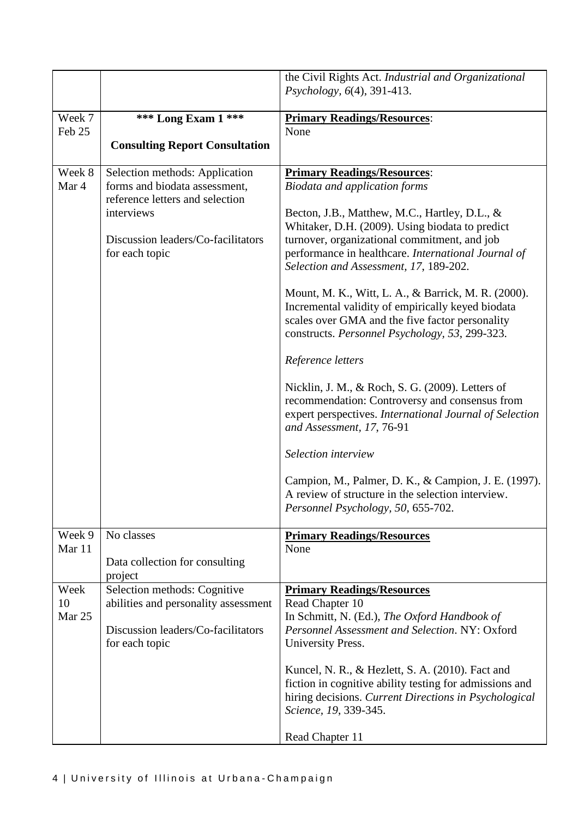|                  |                                                                                                                                                                          | the Civil Rights Act. Industrial and Organizational<br>Psychology, 6(4), 391-413.                                                                                                                                                                                                                                                                                                                                                                                                                                                                                                                                                                                                                                                                                                                                                                  |
|------------------|--------------------------------------------------------------------------------------------------------------------------------------------------------------------------|----------------------------------------------------------------------------------------------------------------------------------------------------------------------------------------------------------------------------------------------------------------------------------------------------------------------------------------------------------------------------------------------------------------------------------------------------------------------------------------------------------------------------------------------------------------------------------------------------------------------------------------------------------------------------------------------------------------------------------------------------------------------------------------------------------------------------------------------------|
| Week 7           | <b>*** Long Exam 1 ***</b>                                                                                                                                               | <b>Primary Readings/Resources:</b>                                                                                                                                                                                                                                                                                                                                                                                                                                                                                                                                                                                                                                                                                                                                                                                                                 |
| Feb 25           | <b>Consulting Report Consultation</b>                                                                                                                                    | None                                                                                                                                                                                                                                                                                                                                                                                                                                                                                                                                                                                                                                                                                                                                                                                                                                               |
|                  |                                                                                                                                                                          |                                                                                                                                                                                                                                                                                                                                                                                                                                                                                                                                                                                                                                                                                                                                                                                                                                                    |
| Week 8<br>Mar 4  | Selection methods: Application<br>forms and biodata assessment,<br>reference letters and selection<br>interviews<br>Discussion leaders/Co-facilitators<br>for each topic | <b>Primary Readings/Resources:</b><br><b>Biodata and application forms</b><br>Becton, J.B., Matthew, M.C., Hartley, D.L., &<br>Whitaker, D.H. (2009). Using biodata to predict<br>turnover, organizational commitment, and job<br>performance in healthcare. International Journal of<br>Selection and Assessment, 17, 189-202.<br>Mount, M. K., Witt, L. A., & Barrick, M. R. (2000).<br>Incremental validity of empirically keyed biodata<br>scales over GMA and the five factor personality<br>constructs. Personnel Psychology, 53, 299-323.<br>Reference letters<br>Nicklin, J. M., & Roch, S. G. (2009). Letters of<br>recommendation: Controversy and consensus from<br>expert perspectives. International Journal of Selection<br>and Assessment, 17, 76-91<br>Selection interview<br>Campion, M., Palmer, D. K., & Campion, J. E. (1997). |
|                  |                                                                                                                                                                          | A review of structure in the selection interview.<br>Personnel Psychology, 50, 655-702.                                                                                                                                                                                                                                                                                                                                                                                                                                                                                                                                                                                                                                                                                                                                                            |
| Week 9<br>Mar 11 | No classes<br>Data collection for consulting                                                                                                                             | <b>Primary Readings/Resources</b><br>None                                                                                                                                                                                                                                                                                                                                                                                                                                                                                                                                                                                                                                                                                                                                                                                                          |
| Week             | project<br>Selection methods: Cognitive                                                                                                                                  | <b>Primary Readings/Resources</b>                                                                                                                                                                                                                                                                                                                                                                                                                                                                                                                                                                                                                                                                                                                                                                                                                  |
| 10               | abilities and personality assessment                                                                                                                                     | Read Chapter 10                                                                                                                                                                                                                                                                                                                                                                                                                                                                                                                                                                                                                                                                                                                                                                                                                                    |
| Mar 25           | Discussion leaders/Co-facilitators<br>for each topic                                                                                                                     | In Schmitt, N. (Ed.), The Oxford Handbook of<br>Personnel Assessment and Selection. NY: Oxford<br>University Press.                                                                                                                                                                                                                                                                                                                                                                                                                                                                                                                                                                                                                                                                                                                                |
|                  |                                                                                                                                                                          | Kuncel, N. R., & Hezlett, S. A. (2010). Fact and<br>fiction in cognitive ability testing for admissions and<br>hiring decisions. Current Directions in Psychological<br>Science, 19, 339-345.                                                                                                                                                                                                                                                                                                                                                                                                                                                                                                                                                                                                                                                      |
|                  |                                                                                                                                                                          | Read Chapter 11                                                                                                                                                                                                                                                                                                                                                                                                                                                                                                                                                                                                                                                                                                                                                                                                                                    |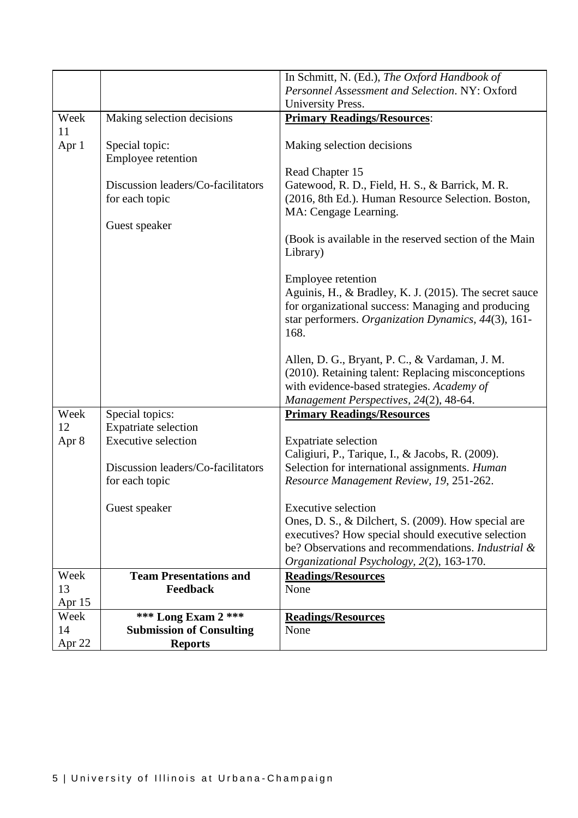|        |                                    | In Schmitt, N. (Ed.), The Oxford Handbook of                                         |
|--------|------------------------------------|--------------------------------------------------------------------------------------|
|        |                                    | Personnel Assessment and Selection. NY: Oxford                                       |
|        |                                    | University Press.                                                                    |
| Week   | Making selection decisions         | <b>Primary Readings/Resources:</b>                                                   |
| 11     |                                    |                                                                                      |
| Apr 1  | Special topic:                     | Making selection decisions                                                           |
|        | Employee retention                 |                                                                                      |
|        |                                    | Read Chapter 15                                                                      |
|        | Discussion leaders/Co-facilitators | Gatewood, R. D., Field, H. S., & Barrick, M. R.                                      |
|        | for each topic                     | (2016, 8th Ed.). Human Resource Selection. Boston,                                   |
|        |                                    | MA: Cengage Learning.                                                                |
|        | Guest speaker                      |                                                                                      |
|        |                                    | (Book is available in the reserved section of the Main                               |
|        |                                    | Library)                                                                             |
|        |                                    |                                                                                      |
|        |                                    | Employee retention                                                                   |
|        |                                    | Aguinis, H., & Bradley, K. J. (2015). The secret sauce                               |
|        |                                    | for organizational success: Managing and producing                                   |
|        |                                    | star performers. Organization Dynamics, 44(3), 161-                                  |
|        |                                    | 168.                                                                                 |
|        |                                    |                                                                                      |
|        |                                    | Allen, D. G., Bryant, P. C., & Vardaman, J. M.                                       |
|        |                                    | (2010). Retaining talent: Replacing misconceptions                                   |
|        |                                    | with evidence-based strategies. Academy of<br>Management Perspectives, 24(2), 48-64. |
| Week   | Special topics:                    | <b>Primary Readings/Resources</b>                                                    |
| 12     | Expatriate selection               |                                                                                      |
| Apr 8  | <b>Executive selection</b>         | <b>Expatriate selection</b>                                                          |
|        |                                    | Caligiuri, P., Tarique, I., & Jacobs, R. (2009).                                     |
|        | Discussion leaders/Co-facilitators | Selection for international assignments. Human                                       |
|        | for each topic                     | Resource Management Review, 19, 251-262.                                             |
|        |                                    |                                                                                      |
|        | Guest speaker                      | <b>Executive selection</b>                                                           |
|        |                                    | Ones, D. S., & Dilchert, S. (2009). How special are                                  |
|        |                                    | executives? How special should executive selection                                   |
|        |                                    | be? Observations and recommendations. <i>Industrial &amp;</i>                        |
|        |                                    | Organizational Psychology, 2(2), 163-170.                                            |
| Week   | <b>Team Presentations and</b>      | <b>Readings/Resources</b>                                                            |
| 13     | Feedback                           | None                                                                                 |
| Apr 15 |                                    |                                                                                      |
| Week   | *** Long Exam 2 ***                | <b>Readings/Resources</b>                                                            |
| 14     | <b>Submission of Consulting</b>    | None                                                                                 |
| Apr 22 | <b>Reports</b>                     |                                                                                      |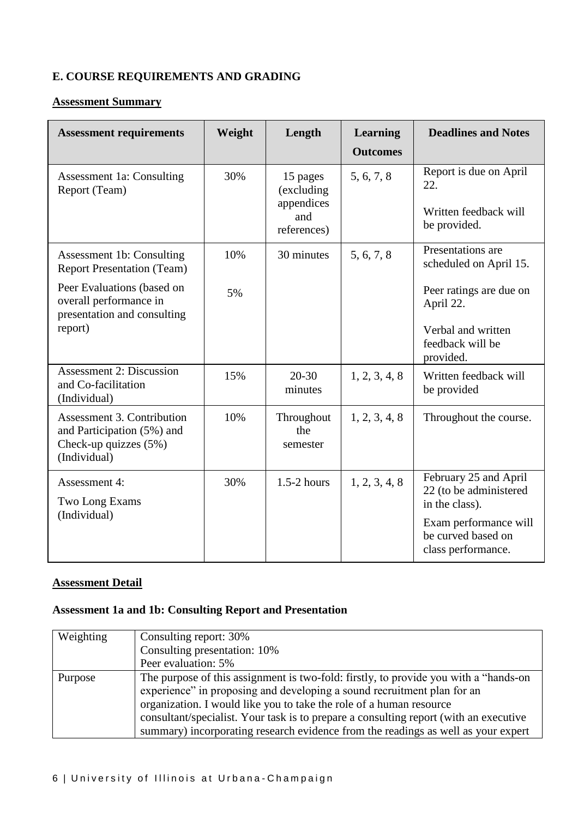### **E. COURSE REQUIREMENTS AND GRADING**

#### **Assessment Summary**

| <b>Assessment requirements</b>                                                                    | Weight | Length                                                     | Learning<br><b>Outcomes</b> | <b>Deadlines and Notes</b>                                                                                       |
|---------------------------------------------------------------------------------------------------|--------|------------------------------------------------------------|-----------------------------|------------------------------------------------------------------------------------------------------------------|
| <b>Assessment 1a: Consulting</b><br>Report (Team)                                                 | 30%    | 15 pages<br>(excluding<br>appendices<br>and<br>references) | 5, 6, 7, 8                  | Report is due on April<br>22.<br>Written feedback will<br>be provided.                                           |
| Assessment 1b: Consulting<br><b>Report Presentation (Team)</b>                                    | 10%    | 30 minutes                                                 | 5, 6, 7, 8                  | Presentations are<br>scheduled on April 15.                                                                      |
| Peer Evaluations (based on<br>overall performance in<br>presentation and consulting<br>report)    | 5%     |                                                            |                             | Peer ratings are due on<br>April 22.<br>Verbal and written<br>feedback will be                                   |
|                                                                                                   |        |                                                            |                             | provided.                                                                                                        |
| <b>Assessment 2: Discussion</b><br>and Co-facilitation<br>(Individual)                            | 15%    | $20 - 30$<br>minutes                                       | 1, 2, 3, 4, 8               | Written feedback will<br>be provided                                                                             |
| Assessment 3. Contribution<br>and Participation (5%) and<br>Check-up quizzes (5%)<br>(Individual) | 10%    | Throughout<br>the<br>semester                              | 1, 2, 3, 4, 8               | Throughout the course.                                                                                           |
| Assessment 4:<br>Two Long Exams<br>(Individual)                                                   | 30%    | $1.5-2$ hours                                              | 1, 2, 3, 4, 8               | February 25 and April<br>22 (to be administered<br>in the class).<br>Exam performance will<br>be curved based on |
|                                                                                                   |        |                                                            |                             | class performance.                                                                                               |

### **Assessment Detail**

#### **Assessment 1a and 1b: Consulting Report and Presentation**

| Weighting | Consulting report: 30%                                                                |
|-----------|---------------------------------------------------------------------------------------|
|           | Consulting presentation: 10%                                                          |
|           | Peer evaluation: 5%                                                                   |
| Purpose   | The purpose of this assignment is two-fold: firstly, to provide you with a "hands-on" |
|           | experience" in proposing and developing a sound recruitment plan for an               |
|           | organization. I would like you to take the role of a human resource                   |
|           | consultant/specialist. Your task is to prepare a consulting report (with an executive |
|           | summary) incorporating research evidence from the readings as well as your expert     |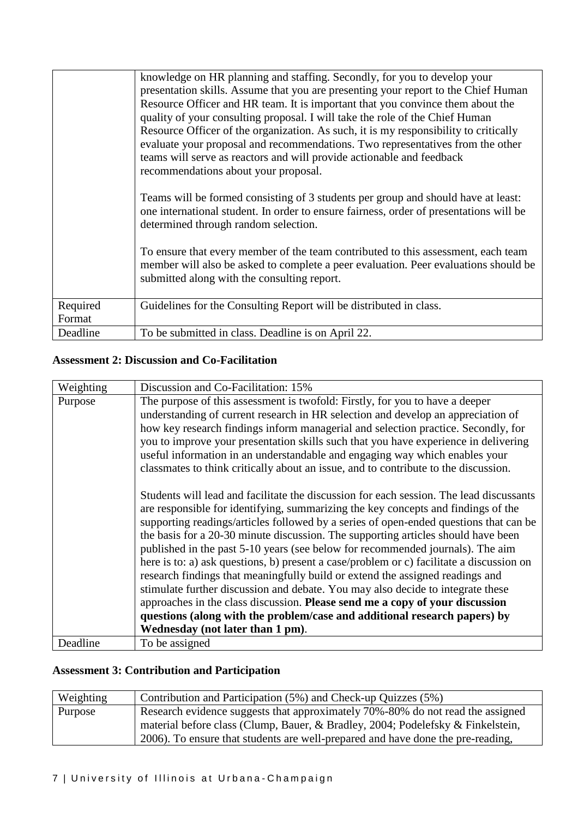|                    | knowledge on HR planning and staffing. Secondly, for you to develop your<br>presentation skills. Assume that you are presenting your report to the Chief Human<br>Resource Officer and HR team. It is important that you convince them about the<br>quality of your consulting proposal. I will take the role of the Chief Human<br>Resource Officer of the organization. As such, it is my responsibility to critically<br>evaluate your proposal and recommendations. Two representatives from the other<br>teams will serve as reactors and will provide actionable and feedback<br>recommendations about your proposal.<br>Teams will be formed consisting of 3 students per group and should have at least:<br>one international student. In order to ensure fairness, order of presentations will be<br>determined through random selection.<br>To ensure that every member of the team contributed to this assessment, each team<br>member will also be asked to complete a peer evaluation. Peer evaluations should be |
|--------------------|--------------------------------------------------------------------------------------------------------------------------------------------------------------------------------------------------------------------------------------------------------------------------------------------------------------------------------------------------------------------------------------------------------------------------------------------------------------------------------------------------------------------------------------------------------------------------------------------------------------------------------------------------------------------------------------------------------------------------------------------------------------------------------------------------------------------------------------------------------------------------------------------------------------------------------------------------------------------------------------------------------------------------------|
|                    | submitted along with the consulting report.                                                                                                                                                                                                                                                                                                                                                                                                                                                                                                                                                                                                                                                                                                                                                                                                                                                                                                                                                                                    |
| Required<br>Format | Guidelines for the Consulting Report will be distributed in class.                                                                                                                                                                                                                                                                                                                                                                                                                                                                                                                                                                                                                                                                                                                                                                                                                                                                                                                                                             |
| Deadline           | To be submitted in class. Deadline is on April 22.                                                                                                                                                                                                                                                                                                                                                                                                                                                                                                                                                                                                                                                                                                                                                                                                                                                                                                                                                                             |

## **Assessment 2: Discussion and Co-Facilitation**

| Weighting                                                                       | Discussion and Co-Facilitation: 15%                                                      |
|---------------------------------------------------------------------------------|------------------------------------------------------------------------------------------|
| Purpose                                                                         | The purpose of this assessment is twofold: Firstly, for you to have a deeper             |
|                                                                                 | understanding of current research in HR selection and develop an appreciation of         |
|                                                                                 | how key research findings inform managerial and selection practice. Secondly, for        |
|                                                                                 | you to improve your presentation skills such that you have experience in delivering      |
|                                                                                 | useful information in an understandable and engaging way which enables your              |
|                                                                                 | classmates to think critically about an issue, and to contribute to the discussion.      |
|                                                                                 |                                                                                          |
|                                                                                 | Students will lead and facilitate the discussion for each session. The lead discussants  |
|                                                                                 | are responsible for identifying, summarizing the key concepts and findings of the        |
|                                                                                 | supporting readings/articles followed by a series of open-ended questions that can be    |
|                                                                                 | the basis for a 20-30 minute discussion. The supporting articles should have been        |
|                                                                                 | published in the past 5-10 years (see below for recommended journals). The aim           |
|                                                                                 | here is to: a) ask questions, b) present a case/problem or c) facilitate a discussion on |
|                                                                                 | research findings that meaningfully build or extend the assigned readings and            |
| stimulate further discussion and debate. You may also decide to integrate these |                                                                                          |
|                                                                                 | approaches in the class discussion. Please send me a copy of your discussion             |
|                                                                                 | questions (along with the problem/case and additional research papers) by                |
|                                                                                 | Wednesday (not later than 1 pm).                                                         |
| Deadline                                                                        | To be assigned                                                                           |

# **Assessment 3: Contribution and Participation**

| Weighting | Contribution and Participation (5%) and Check-up Quizzes (5%)                   |
|-----------|---------------------------------------------------------------------------------|
| Purpose   | Research evidence suggests that approximately 70%-80% do not read the assigned  |
|           | material before class (Clump, Bauer, & Bradley, 2004; Podelefsky & Finkelstein, |
|           | 2006). To ensure that students are well-prepared and have done the pre-reading, |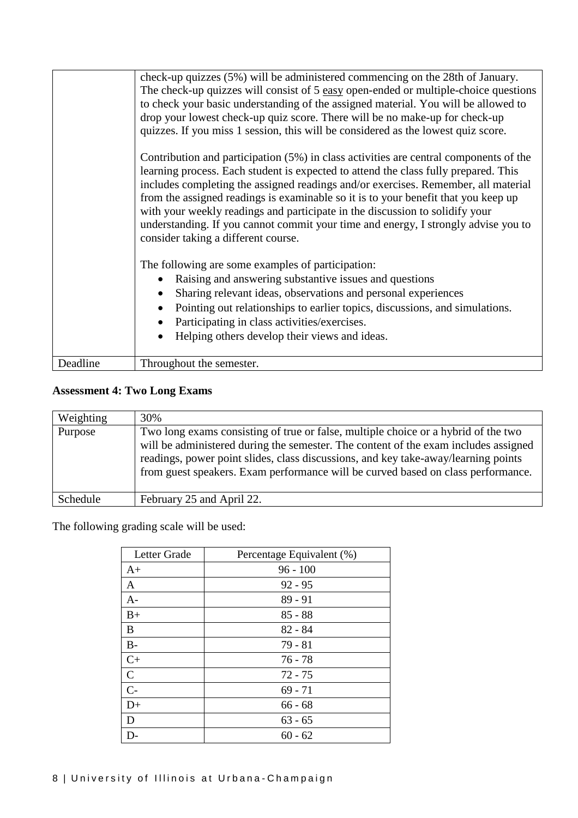|          | check-up quizzes (5%) will be administered commencing on the 28th of January.<br>The check-up quizzes will consist of 5 easy open-ended or multiple-choice questions<br>to check your basic understanding of the assigned material. You will be allowed to<br>drop your lowest check-up quiz score. There will be no make-up for check-up<br>quizzes. If you miss 1 session, this will be considered as the lowest quiz score.<br>Contribution and participation (5%) in class activities are central components of the<br>learning process. Each student is expected to attend the class fully prepared. This<br>includes completing the assigned readings and/or exercises. Remember, all material<br>from the assigned readings is examinable so it is to your benefit that you keep up<br>with your weekly readings and participate in the discussion to solidify your<br>understanding. If you cannot commit your time and energy, I strongly advise you to<br>consider taking a different course.<br>The following are some examples of participation:<br>Raising and answering substantive issues and questions<br>$\bullet$<br>Sharing relevant ideas, observations and personal experiences<br>$\bullet$<br>Pointing out relationships to earlier topics, discussions, and simulations.<br>$\bullet$<br>Participating in class activities/exercises.<br>$\bullet$<br>Helping others develop their views and ideas.<br>$\bullet$ |
|----------|------------------------------------------------------------------------------------------------------------------------------------------------------------------------------------------------------------------------------------------------------------------------------------------------------------------------------------------------------------------------------------------------------------------------------------------------------------------------------------------------------------------------------------------------------------------------------------------------------------------------------------------------------------------------------------------------------------------------------------------------------------------------------------------------------------------------------------------------------------------------------------------------------------------------------------------------------------------------------------------------------------------------------------------------------------------------------------------------------------------------------------------------------------------------------------------------------------------------------------------------------------------------------------------------------------------------------------------------------------------------------------------------------------------------------------------|
| Deadline | Throughout the semester.                                                                                                                                                                                                                                                                                                                                                                                                                                                                                                                                                                                                                                                                                                                                                                                                                                                                                                                                                                                                                                                                                                                                                                                                                                                                                                                                                                                                                 |

### **Assessment 4: Two Long Exams**

| Weighting | 30%                                                                                                                                                                                                                                                                                                                                                 |
|-----------|-----------------------------------------------------------------------------------------------------------------------------------------------------------------------------------------------------------------------------------------------------------------------------------------------------------------------------------------------------|
| Purpose   | Two long exams consisting of true or false, multiple choice or a hybrid of the two<br>will be administered during the semester. The content of the exam includes assigned<br>readings, power point slides, class discussions, and key take-away/learning points<br>from guest speakers. Exam performance will be curved based on class performance. |
| Schedule  | February 25 and April 22.                                                                                                                                                                                                                                                                                                                           |

The following grading scale will be used:

| Letter Grade  | Percentage Equivalent (%) |
|---------------|---------------------------|
| $A+$          | $96 - 100$                |
| A             | $92 - 95$                 |
| $A-$          | $89 - 91$                 |
| $B+$          | $85 - 88$                 |
| B             | $82 - 84$                 |
| $B-$          | $79 - 81$                 |
| $C+$          | $76 - 78$                 |
| $\mathcal{C}$ | $72 - 75$                 |
| $C -$         | $69 - 71$                 |
| $D+$          | $66 - 68$                 |
| D             | $63 - 65$                 |
|               | $60 - 62$                 |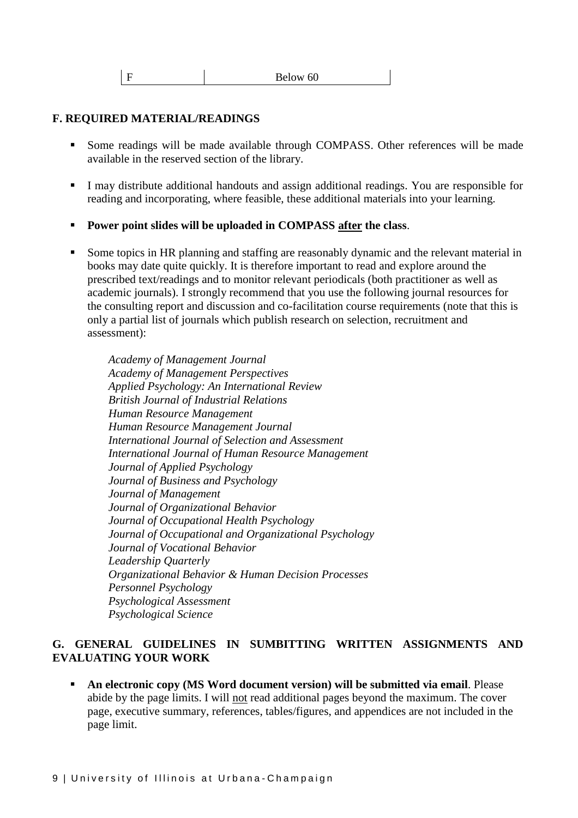|  | Below 60 |
|--|----------|
|--|----------|

#### **F. REQUIRED MATERIAL/READINGS**

- Some readings will be made available through COMPASS. Other references will be made available in the reserved section of the library.
- I may distribute additional handouts and assign additional readings. You are responsible for reading and incorporating, where feasible, these additional materials into your learning.
- **Power point slides will be uploaded in COMPASS after the class**.
- Some topics in HR planning and staffing are reasonably dynamic and the relevant material in books may date quite quickly. It is therefore important to read and explore around the prescribed text/readings and to monitor relevant periodicals (both practitioner as well as academic journals). I strongly recommend that you use the following journal resources for the consulting report and discussion and co-facilitation course requirements (note that this is only a partial list of journals which publish research on selection, recruitment and assessment):

*Academy of Management Journal Academy of Management Perspectives Applied Psychology: An International Review British Journal of Industrial Relations Human Resource Management Human Resource Management Journal International Journal of Selection and Assessment International Journal of Human Resource Management Journal of Applied Psychology Journal of Business and Psychology Journal of Management Journal of Organizational Behavior Journal of Occupational Health Psychology Journal of Occupational and Organizational Psychology Journal of Vocational Behavior Leadership Quarterly Organizational Behavior & Human Decision Processes Personnel Psychology Psychological Assessment Psychological Science*

#### **G. GENERAL GUIDELINES IN SUMBITTING WRITTEN ASSIGNMENTS AND EVALUATING YOUR WORK**

 **An electronic copy (MS Word document version) will be submitted via email**. Please abide by the page limits. I will not read additional pages beyond the maximum. The cover page, executive summary, references, tables/figures, and appendices are not included in the page limit.